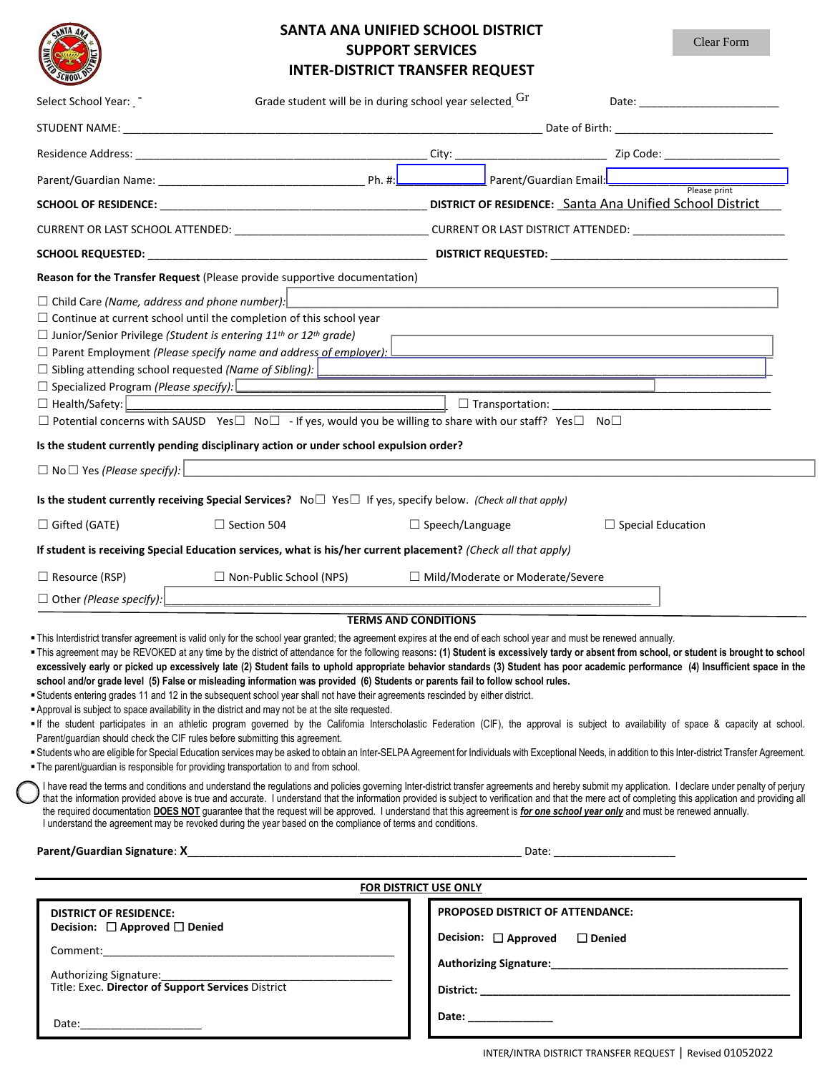| <b>SCHOC</b> |  |
|--------------|--|

## **SANTA ANA UNIFIED SCHOOL DISTRICT SUPPORT SERVICES**

**INTER-DISTRICT TRANSFER REQUEST**  $\Box$  Child Care *(Name, address and phone number):*  $\Box$  Continue at current school until the completion of this school year ☐ Junior/Senior Privilege *(Student is entering 11th or 12th grade)* □ Parent Employment *(Please specify name and address of employer):* □ Sibling attending school requested *(Name of Sibling)*: <u>|</u> ☐ Health/Safety: \_\_\_\_\_\_\_\_\_\_\_\_\_\_\_\_\_\_\_\_\_\_\_\_\_\_\_\_\_\_\_\_\_\_\_\_\_\_\_\_\_\_\_\_\_\_\_\_\_\_\_\_\_ ☐ Transportation: \_\_\_\_\_\_\_\_\_\_\_\_\_\_\_\_\_\_\_\_\_\_\_\_\_\_\_\_\_\_\_\_\_\_\_\_ ☐ Potential concerns with SAUSD Yes☐ No☐ - If yes, would you be willing to share with our staff? Yes☐ No☐ **Is the student currently pending disciplinary action or under school expulsion order? Is the student currently receiving Special Services?**No☐ Yes☐ If yes, specify below. *(Check all that apply)* Select School Year:  $\lceil \cdot \rceil$  Grade student will be in during school year selected  $\rm Gr$  Date: \_\_\_\_\_\_\_\_\_\_\_\_\_\_\_\_\_\_\_\_\_\_\_\_ STUDENT NAME: \_\_\_\_\_\_\_\_\_\_\_\_\_\_\_\_\_\_\_\_\_\_\_\_\_\_\_\_\_\_\_\_\_\_\_\_\_\_\_\_\_\_\_\_\_\_\_\_\_\_\_\_\_\_\_\_\_\_\_\_\_\_\_\_\_\_\_\_\_ Date of Birth: \_\_\_\_\_\_\_\_\_\_\_\_\_\_\_\_\_\_\_\_\_\_\_\_\_\_ Residence Address: \_\_\_\_\_\_\_\_\_\_\_\_\_\_\_\_\_\_\_\_\_\_\_\_\_\_\_\_\_\_\_\_\_\_\_\_\_\_\_\_\_\_\_\_\_\_\_\_ City: \_\_\_\_\_\_\_\_\_\_\_\_\_\_\_\_\_\_\_\_\_\_\_\_\_ Zip Code: \_\_\_\_\_\_\_\_\_\_\_\_\_\_\_\_\_\_\_ Parent/Guardian Name: \_\_\_\_\_\_\_\_\_\_\_\_\_\_\_\_\_\_\_\_\_\_\_\_\_\_\_\_\_\_\_\_\_\_ Ph. #:\_\_\_\_\_\_\_\_\_\_\_\_\_\_\_ Parent/Guardian Email: \_\_\_\_\_\_\_\_\_\_\_\_\_\_\_\_\_\_\_\_\_\_\_\_\_\_\_\_\_ Please print **SCHOOL OF RESIDENCE:** \_\_\_\_\_\_\_\_\_\_\_\_\_\_\_\_\_\_\_\_\_\_\_\_\_\_\_\_\_\_\_\_\_\_\_\_\_\_\_\_\_\_\_\_ **DISTRICT OF RESIDENCE:** \_\_\_\_\_\_ Santa Ana Unif \_\_\_\_\_\_\_\_\_\_\_\_\_\_ ied Schoo \_\_\_\_\_\_\_\_\_ l \_\_ Distr\_ic\_\_t \_\_\_ CURRENT OR LAST SCHOOL ATTENDED: \_\_\_\_\_\_\_\_\_\_\_\_\_\_\_\_\_\_\_\_\_\_\_\_\_\_\_\_\_\_\_\_ CURRENT OR LAST DISTRICT ATTENDED: \_\_\_\_\_\_\_\_\_\_\_\_\_\_\_\_\_\_\_\_\_\_\_\_\_ **SCHOOL REQUESTED:** \_\_\_\_\_\_\_\_\_\_\_\_\_\_\_\_\_\_\_\_\_\_\_\_\_\_\_\_\_\_\_\_\_\_\_\_\_\_\_\_\_\_\_\_\_\_ **DISTRICT REQUESTED:** \_\_\_\_\_\_\_\_\_\_\_\_\_\_\_\_\_\_\_\_\_\_\_\_\_\_\_\_\_\_\_\_\_\_\_\_\_\_\_ **Reason for the Transfer Request** (Please provide supportive documentation) Clear Form

| $\Box$ Gifted (GATE)           | $\Box$ Section 504                                                                                            | $\Box$ Speech/Language                  | $\Box$ Special Education |
|--------------------------------|---------------------------------------------------------------------------------------------------------------|-----------------------------------------|--------------------------|
|                                | If student is receiving Special Education services, what is his/her current placement? (Check all that apply) |                                         |                          |
| $\Box$ Resource (RSP)          | $\Box$ Non-Public School (NPS)                                                                                | $\Box$ Mild/Moderate or Moderate/Severe |                          |
| $\Box$ Other (Please specify): |                                                                                                               |                                         |                          |

## **TERMS AND CONDITIONS**

This Interdistrict transfer agreement is valid only for the school year granted; the agreement expires at the end of each school year and must be renewed annually.

This agreement may be REVOKED at any time by the district of attendance for the following reasons**: (1) Student is excessively tardy or absent from school, or student is brought to school**  excessively early or picked up excessively late (2) Student fails to uphold appropriate behavior standards (3) Student has poor academic performance (4) Insufficient space in the **school and/or grade level (5) False or misleading information was provided (6) Students or parents fail to follow school rules.**

Students entering grades 11 and 12 in the subsequent school year shall not have their agreements rescinded by either district.

**Approval is subject to space availability in the district and may not be at the site requested.** 

If the student participates in an athletic program governed by the California Interscholastic Federation (CIF), the approval is subject to availability of space & capacity at school. Parent/guardian should check the CIF rules before submitting this agreement.

Students who are eligible for Special Education services may be asked to obtain an Inter-SELPA Agreement for Individuals with Exceptional Needs, in addition to this Inter-district Transfer Agreement. The parent/guardian is responsible for providing transportation to and from school.

I have read the terms and conditions and understand the regulations and policies governing Inter-district transfer agreements and hereby submit my application. I declare under penalty of perjury that the information provided above is true and accurate. I understand that the information provided is subject to verification and that the mere act of completing this application and providing all the required documentation **DOES NOT** guarantee that the request will be approved. I understand that this agreement is *for one school year only* and must be renewed annually. I understand the agreement may be revoked during the year based on the compliance of terms and conditions.

**Parent/Guardian Signature**: **X**\_\_\_\_\_\_\_\_\_\_\_\_\_\_\_\_\_\_\_\_\_\_\_\_\_\_\_\_\_\_\_\_\_\_\_\_\_\_\_\_\_\_\_\_\_\_\_\_\_\_\_\_\_\_\_ Date: \_\_\_\_\_\_\_\_\_\_\_\_\_\_\_\_\_\_\_\_

□ Specialized Program (Please specify): **□** 

 $\Box$  No  $\Box$  Yes *(Please specify):* 

| <b>FOR DISTRICT USE ONLY</b>                                                                                                                                                                                                   |                                         |  |  |  |  |  |
|--------------------------------------------------------------------------------------------------------------------------------------------------------------------------------------------------------------------------------|-----------------------------------------|--|--|--|--|--|
| <b>DISTRICT OF RESIDENCE:</b>                                                                                                                                                                                                  | <b>PROPOSED DISTRICT OF ATTENDANCE:</b> |  |  |  |  |  |
| Decision: $\Box$ Approved $\Box$ Denied                                                                                                                                                                                        | Decision: □ Approved □ Denied           |  |  |  |  |  |
| Comment:                                                                                                                                                                                                                       |                                         |  |  |  |  |  |
| <b>Authorizing Signature:</b>                                                                                                                                                                                                  |                                         |  |  |  |  |  |
| Authorizing Signature:<br>Title: Exec. Director of Support Services District                                                                                                                                                   |                                         |  |  |  |  |  |
|                                                                                                                                                                                                                                | Date: ____________                      |  |  |  |  |  |
| Date: the contract of the contract of the contract of the contract of the contract of the contract of the contract of the contract of the contract of the contract of the contract of the contract of the contract of the cont |                                         |  |  |  |  |  |